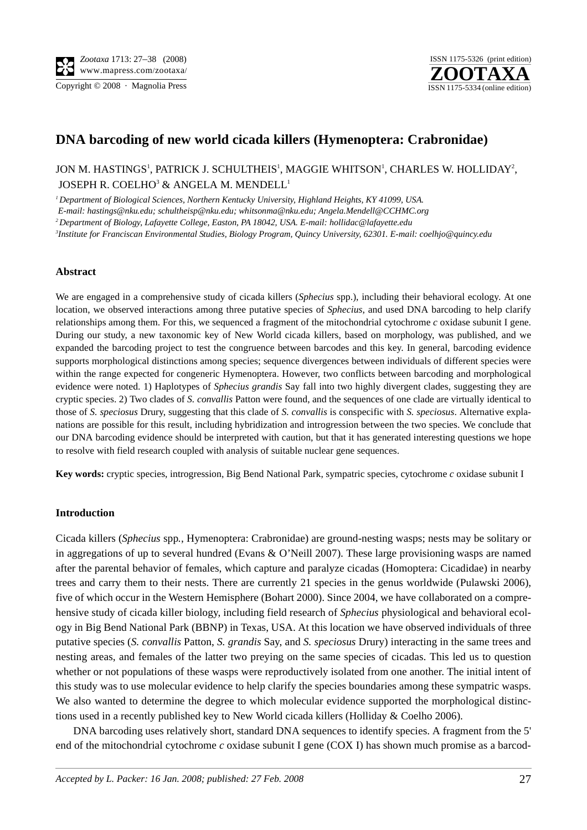Copyright © 2008 · Magnolia Press ISSN 1175-5334 (online edition)



# **DNA barcoding of new world cicada killers (Hymenoptera: Crabronidae)**

## JON M. HASTINGS', PATRICK J. SCHULTHEIS', MAGGIE WHITSON', CHARLES W. HOLLIDAY<del>'</del>, JOSEPH R. COELHO<sup>3</sup> & ANGELA M. MENDELL<sup>1</sup>

*1 Department of Biological Sciences, Northern Kentucky University, Highland Heights, KY 41099, USA.* 

 *E-mail: hastings@nku.edu; schultheisp@nku.edu; whitsonma@nku.edu; Angela.Mendell@CCHMC.org*

*2 Department of Biology, Lafayette College, Easton, PA 18042, USA. E-mail: hollidac@lafayette.edu* 

*3 Institute for Franciscan Environmental Studies, Biology Program, Quincy University, 62301. E-mail: coelhjo@quincy.edu*

## **Abstract**

We are engaged in a comprehensive study of cicada killers (*Sphecius* spp.), including their behavioral ecology. At one location, we observed interactions among three putative species of *Sphecius*, and used DNA barcoding to help clarify relationships among them. For this, we sequenced a fragment of the mitochondrial cytochrome *c* oxidase subunit I gene. During our study, a new taxonomic key of New World cicada killers, based on morphology, was published, and we expanded the barcoding project to test the congruence between barcodes and this key. In general, barcoding evidence supports morphological distinctions among species; sequence divergences between individuals of different species were within the range expected for congeneric Hymenoptera. However, two conflicts between barcoding and morphological evidence were noted. 1) Haplotypes of *Sphecius grandis* Say fall into two highly divergent clades, suggesting they are cryptic species. 2) Two clades of *S. convallis* Patton were found, and the sequences of one clade are virtually identical to those of *S. speciosus* Drury, suggesting that this clade of *S. convallis* is conspecific with *S. speciosus*. Alternative explanations are possible for this result, including hybridization and introgression between the two species. We conclude that our DNA barcoding evidence should be interpreted with caution, but that it has generated interesting questions we hope to resolve with field research coupled with analysis of suitable nuclear gene sequences.

**Key words:** cryptic species, introgression, Big Bend National Park, sympatric species, cytochrome *c* oxidase subunit I

## **Introduction**

Cicada killers (*Sphecius* spp*.*, Hymenoptera: Crabronidae) are ground-nesting wasps; nests may be solitary or in aggregations of up to several hundred (Evans & O'Neill 2007). These large provisioning wasps are named after the parental behavior of females, which capture and paralyze cicadas (Homoptera: Cicadidae) in nearby trees and carry them to their nests. There are currently 21 species in the genus worldwide (Pulawski 2006), five of which occur in the Western Hemisphere (Bohart 2000). Since 2004, we have collaborated on a comprehensive study of cicada killer biology, including field research of *Sphecius* physiological and behavioral ecology in Big Bend National Park (BBNP) in Texas, USA. At this location we have observed individuals of three putative species (*S. convallis* Patton, *S. grandis* Say, and *S. speciosus* Drury) interacting in the same trees and nesting areas, and females of the latter two preying on the same species of cicadas. This led us to question whether or not populations of these wasps were reproductively isolated from one another. The initial intent of this study was to use molecular evidence to help clarify the species boundaries among these sympatric wasps. We also wanted to determine the degree to which molecular evidence supported the morphological distinctions used in a recently published key to New World cicada killers (Holliday & Coelho 2006).

DNA barcoding uses relatively short, standard DNA sequences to identify species. A fragment from the 5' end of the mitochondrial cytochrome *c* oxidase subunit I gene (COX I) has shown much promise as a barcod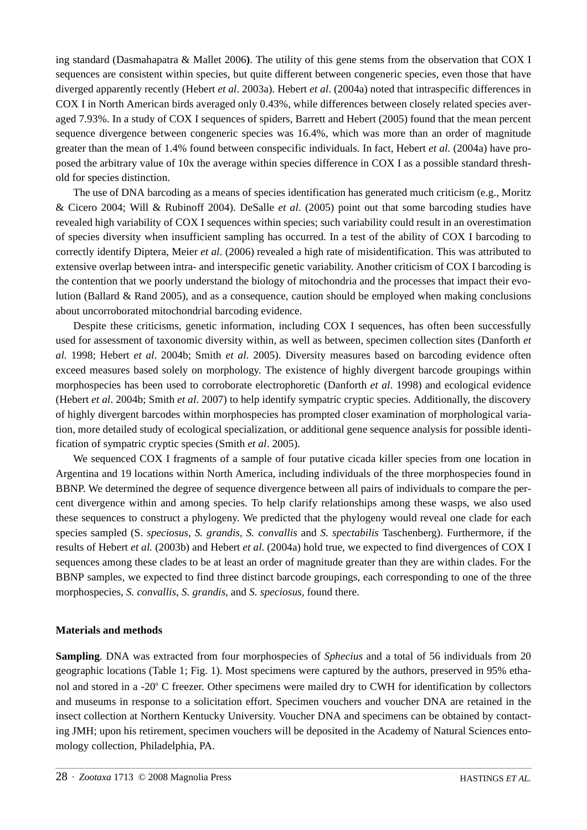ing standard (Dasmahapatra & Mallet 2006**)**. The utility of this gene stems from the observation that COX I sequences are consistent within species, but quite different between congeneric species, even those that have diverged apparently recently (Hebert *et al*. 2003a). Hebert *et al*. (2004a) noted that intraspecific differences in COX I in North American birds averaged only 0.43%, while differences between closely related species averaged 7.93%. In a study of COX I sequences of spiders, Barrett and Hebert (2005) found that the mean percent sequence divergence between congeneric species was 16.4%, which was more than an order of magnitude greater than the mean of 1.4% found between conspecific individuals. In fact, Hebert *et al.* (2004a) have proposed the arbitrary value of 10x the average within species difference in COX I as a possible standard threshold for species distinction.

The use of DNA barcoding as a means of species identification has generated much criticism (e.g., Moritz & Cicero 2004; Will & Rubinoff 2004). DeSalle *et al*. (2005) point out that some barcoding studies have revealed high variability of COX I sequences within species; such variability could result in an overestimation of species diversity when insufficient sampling has occurred. In a test of the ability of COX I barcoding to correctly identify Diptera, Meier *et al*. (2006) revealed a high rate of misidentification. This was attributed to extensive overlap between intra- and interspecific genetic variability. Another criticism of COX I barcoding is the contention that we poorly understand the biology of mitochondria and the processes that impact their evolution (Ballard & Rand 2005), and as a consequence, caution should be employed when making conclusions about uncorroborated mitochondrial barcoding evidence.

Despite these criticisms, genetic information, including COX I sequences, has often been successfully used for assessment of taxonomic diversity within, as well as between, specimen collection sites (Danforth *et al*. 1998; Hebert *et al*. 2004b; Smith *et al*. 2005). Diversity measures based on barcoding evidence often exceed measures based solely on morphology. The existence of highly divergent barcode groupings within morphospecies has been used to corroborate electrophoretic (Danforth *et al*. 1998) and ecological evidence (Hebert *et al*. 2004b; Smith *et al*. 2007) to help identify sympatric cryptic species. Additionally, the discovery of highly divergent barcodes within morphospecies has prompted closer examination of morphological variation, more detailed study of ecological specialization, or additional gene sequence analysis for possible identification of sympatric cryptic species (Smith *et al*. 2005).

We sequenced COX I fragments of a sample of four putative cicada killer species from one location in Argentina and 19 locations within North America, including individuals of the three morphospecies found in BBNP. We determined the degree of sequence divergence between all pairs of individuals to compare the percent divergence within and among species. To help clarify relationships among these wasps, we also used these sequences to construct a phylogeny. We predicted that the phylogeny would reveal one clade for each species sampled (S. *speciosus, S. grandis, S. convallis* and *S. spectabilis* Taschenberg). Furthermore, if the results of Hebert *et al.* (2003b) and Hebert *et al.* (2004a) hold true, we expected to find divergences of COX I sequences among these clades to be at least an order of magnitude greater than they are within clades. For the BBNP samples, we expected to find three distinct barcode groupings, each corresponding to one of the three morphospecies, *S. convallis*, *S. grandis*, and *S. speciosus,* found there.

## **Materials and methods**

**Sampling**. DNA was extracted from four morphospecies of *Sphecius* and a total of 56 individuals from 20 geographic locations (Table 1; Fig. 1). Most specimens were captured by the authors, preserved in 95% ethanol and stored in a -20° C freezer. Other specimens were mailed dry to CWH for identification by collectors and museums in response to a solicitation effort. Specimen vouchers and voucher DNA are retained in the insect collection at Northern Kentucky University. Voucher DNA and specimens can be obtained by contacting JMH; upon his retirement, specimen vouchers will be deposited in the Academy of Natural Sciences entomology collection, Philadelphia, PA.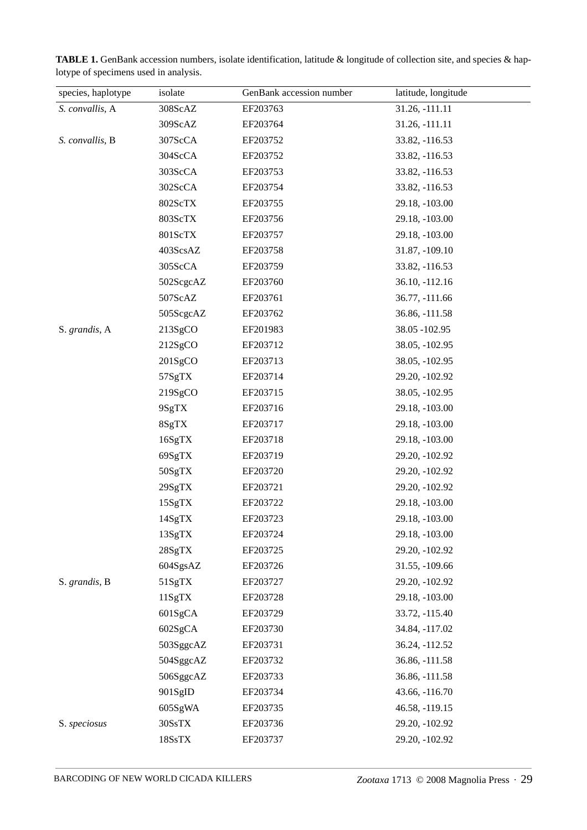| species, haplotype | isolate   | GenBank accession number | latitude, longitude |
|--------------------|-----------|--------------------------|---------------------|
| S. convallis, A    | 308ScAZ   | EF203763                 | 31.26, -111.11      |
|                    | 309ScAZ   | EF203764                 | 31.26, -111.11      |
| S. convallis, B    | 307ScCA   | EF203752                 | 33.82, -116.53      |
|                    | 304ScCA   | EF203752                 | 33.82, -116.53      |
|                    | 303ScCA   | EF203753                 | 33.82, -116.53      |
|                    | 302ScCA   | EF203754                 | 33.82, -116.53      |
|                    | 802ScTX   | EF203755                 | 29.18, -103.00      |
|                    | 803ScTX   | EF203756                 | 29.18, -103.00      |
|                    | 801ScTX   | EF203757                 | 29.18, -103.00      |
|                    | 403ScsAZ  | EF203758                 | 31.87, -109.10      |
|                    | 305ScCA   | EF203759                 | 33.82, -116.53      |
|                    | 502ScgcAZ | EF203760                 | 36.10, -112.16      |
|                    | 507ScAZ   | EF203761                 | 36.77, -111.66      |
|                    | 505ScgcAZ | EF203762                 | 36.86, -111.58      |
| S. grandis, A      | 213SgCO   | EF201983                 | 38.05 - 102.95      |
|                    | 212SgCO   | EF203712                 | 38.05, -102.95      |
|                    | 201SgCO   | EF203713                 | 38.05, -102.95      |
|                    | 57SgTX    | EF203714                 | 29.20, -102.92      |
|                    | 219SgCO   | EF203715                 | 38.05, -102.95      |
|                    | 9SgTX     | EF203716                 | 29.18, -103.00      |
|                    | 8SgTX     | EF203717                 | 29.18, -103.00      |
|                    | 16SgTX    | EF203718                 | 29.18, -103.00      |
|                    | 69SgTX    | EF203719                 | 29.20, -102.92      |
|                    | 50SgTX    | EF203720                 | 29.20, -102.92      |
|                    | 29SgTX    | EF203721                 | 29.20, -102.92      |
|                    | 15SgTX    | EF203722                 | 29.18, -103.00      |
|                    | 14SgTX    | EF203723                 | 29.18, -103.00      |
|                    | 13SgTX    | EF203724                 | 29.18, -103.00      |
|                    | 28SgTX    | EF203725                 | 29.20, -102.92      |
|                    | 604SgsAZ  | EF203726                 | 31.55, -109.66      |
| S. grandis, B      | 51SgTX    | EF203727                 | 29.20, -102.92      |
|                    | 11SgTX    | EF203728                 | 29.18, -103.00      |
|                    | 601SgCA   | EF203729                 | 33.72, -115.40      |
|                    | 602SgCA   | EF203730                 | 34.84, -117.02      |
|                    | 503SggcAZ | EF203731                 | 36.24, -112.52      |
|                    | 504SggcAZ | EF203732                 | 36.86, -111.58      |
|                    | 506SggcAZ | EF203733                 | 36.86, -111.58      |
|                    | 901SgID   | EF203734                 | 43.66, -116.70      |
|                    | 605SgWA   | EF203735                 | 46.58, -119.15      |
| S. speciosus       | 30SsTX    | EF203736                 | 29.20, -102.92      |
|                    | 18SsTX    | EF203737                 | 29.20, -102.92      |

TABLE 1. GenBank accession numbers, isolate identification, latitude & longitude of collection site, and species & haplotype of specimens used in analysis.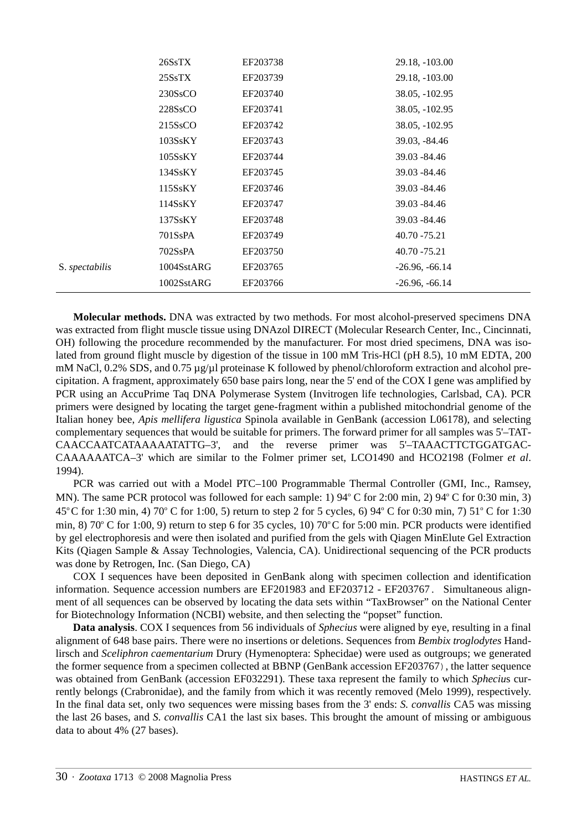|                | 26SsTX                           | EF203738 | 29.18, -103.00   |
|----------------|----------------------------------|----------|------------------|
|                | 25SsTX                           | EF203739 | 29.18, -103.00   |
|                | 230SsCO                          | EF203740 | 38.05, -102.95   |
|                | 228SsCO                          | EF203741 | 38.05, -102.95   |
|                | 215SsCO                          | EF203742 | 38.05, -102.95   |
|                | 103SsKY                          | EF203743 | 39.03, -84.46    |
|                | 105SsKY                          | EF203744 | 39.03 - 84.46    |
|                | 134SsKY                          | EF203745 | 39.03 - 84.46    |
|                | 115SsKY                          | EF203746 | 39.03 - 84.46    |
|                | 114SsKY                          | EF203747 | 39.03 - 84.46    |
|                | 137SsKY                          | EF203748 | 39.03 - 84.46    |
|                | 701S <sub>s</sub> P <sub>A</sub> | EF203749 | 40.70 - 75.21    |
|                | 702SsPA                          | EF203750 | 40.70 - 75.21    |
| S. spectabilis | 1004SstARG                       | EF203765 | $-26.96, -66.14$ |
|                | 1002SstARG                       | EF203766 | $-26.96, -66.14$ |
|                |                                  |          |                  |

**Molecular methods.** DNA was extracted by two methods. For most alcohol-preserved specimens DNA was extracted from flight muscle tissue using DNAzol DIRECT (Molecular Research Center, Inc., Cincinnati, OH) following the procedure recommended by the manufacturer. For most dried specimens, DNA was isolated from ground flight muscle by digestion of the tissue in 100 mM Tris-HCl (pH 8.5), 10 mM EDTA, 200 mM NaCl, 0.2% SDS, and 0.75  $\mu$ g/ $\mu$ l proteinase K followed by phenol/chloroform extraction and alcohol precipitation. A fragment, approximately 650 base pairs long, near the 5' end of the COX I gene was amplified by PCR using an AccuPrime Taq DNA Polymerase System (Invitrogen life technologies, Carlsbad, CA). PCR primers were designed by locating the target gene-fragment within a published mitochondrial genome of the Italian honey bee, *Apis mellifera ligustica* Spinola available in GenBank (accession L06178), and selecting complementary sequences that would be suitable for primers. The forward primer for all samples was 5'–TAT-CAACCAATCATAAAAATATTG–3', and the reverse primer was 5'–TAAACTTCTGGATGAC-CAAAAAATCA–3' which are similar to the Folmer primer set, LCO1490 and HCO2198 (Folmer *et al*. 1994).

PCR was carried out with a Model PTC–100 Programmable Thermal Controller (GMI, Inc., Ramsey, MN). The same PCR protocol was followed for each sample: 1) 94° C for 2:00 min, 2) 94° C for 0:30 min, 3) 45<sup>o</sup>C for 1:30 min, 4) 70<sup>o</sup>C for 1:00, 5) return to step 2 for 5 cycles, 6) 94<sup>o</sup>C for 0:30 min, 7) 51<sup>o</sup>C for 1:30 min, 8) 70° C for 1:00, 9) return to step 6 for 35 cycles, 10) 70° C for 5:00 min. PCR products were identified by gel electrophoresis and were then isolated and purified from the gels with Qiagen MinElute Gel Extraction Kits (Qiagen Sample & Assay Technologies, Valencia, CA). Unidirectional sequencing of the PCR products was done by Retrogen, Inc. (San Diego, CA)

COX I sequences have been deposited in GenBank along with specimen collection and identification information. Sequence accession numbers are EF201983 and EF203712 - EF203767. Simultaneous alignment of all sequences can be observed by locating the data sets within "TaxBrowser" on the National Center for Biotechnology Information (NCBI) website, and then selecting the "popset" function.

**Data analysis**. COX I sequences from 56 individuals of *Sphecius* were aligned by eye, resulting in a final alignment of 648 base pairs. There were no insertions or deletions. Sequences from *Bembix troglodytes* Handlirsch and *Sceliphron caementarium* Drury (Hymenoptera: Sphecidae) were used as outgroups; we generated the former sequence from a specimen collected at BBNP (GenBank accession EF203767), the latter sequence was obtained from GenBank (accession EF032291). These taxa represent the family to which *Spheciu*s currently belongs (Crabronidae), and the family from which it was recently removed (Melo 1999), respectively. In the final data set, only two sequences were missing bases from the 3' ends: *S. convallis* CA5 was missing the last 26 bases, and *S. convallis* CA1 the last six bases. This brought the amount of missing or ambiguous data to about 4% (27 bases).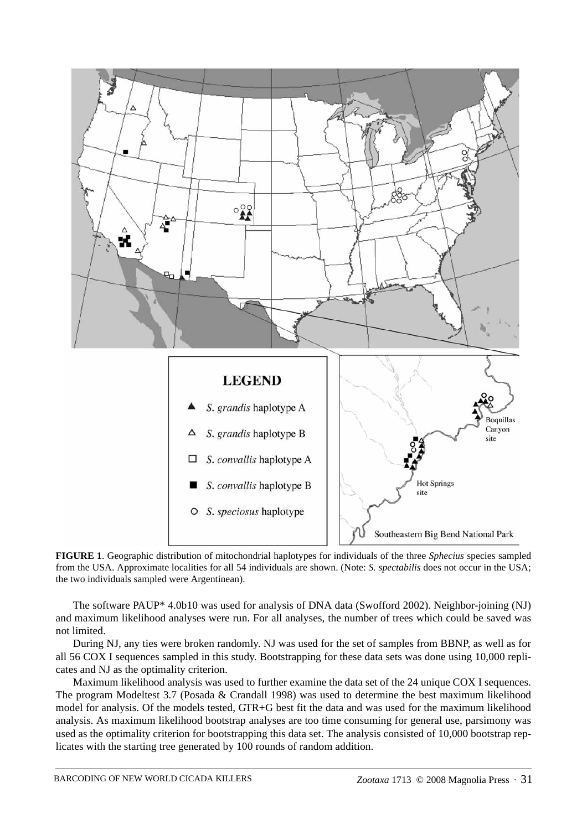

**FIGURE 1**. Geographic distribution of mitochondrial haplotypes for individuals of the three *Sphecius* species sampled from the USA. Approximate localities for all 54 individuals are shown. (Note: *S. spectabilis* does not occur in the USA; the two individuals sampled were Argentinean).

The software PAUP\* 4.0b10 was used for analysis of DNA data (Swofford 2002). Neighbor-joining (NJ) and maximum likelihood analyses were run. For all analyses, the number of trees which could be saved was not limited.

During NJ, any ties were broken randomly. NJ was used for the set of samples from BBNP, as well as for all 56 COX I sequences sampled in this study. Bootstrapping for these data sets was done using 10,000 replicates and NJ as the optimality criterion.

Maximum likelihood analysis was used to further examine the data set of the 24 unique COX I sequences. The program Modeltest 3.7 (Posada & Crandall 1998) was used to determine the best maximum likelihood model for analysis. Of the models tested, GTR+G best fit the data and was used for the maximum likelihood analysis. As maximum likelihood bootstrap analyses are too time consuming for general use, parsimony was used as the optimality criterion for bootstrapping this data set. The analysis consisted of 10,000 bootstrap replicates with the starting tree generated by 100 rounds of random addition.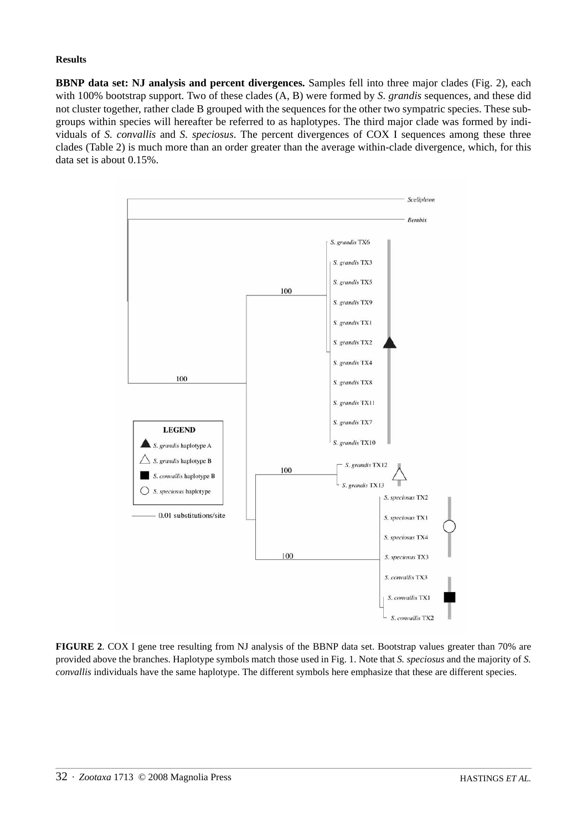### **Results**

**BBNP data set: NJ analysis and percent divergences.** Samples fell into three major clades (Fig. 2), each with 100% bootstrap support. Two of these clades (A, B) were formed by *S. grandis* sequences, and these did not cluster together, rather clade B grouped with the sequences for the other two sympatric species. These subgroups within species will hereafter be referred to as haplotypes. The third major clade was formed by individuals of *S. convallis* and *S. speciosus*. The percent divergences of COX I sequences among these three clades (Table 2) is much more than an order greater than the average within-clade divergence, which, for this data set is about 0.15%.



**FIGURE 2**. COX I gene tree resulting from NJ analysis of the BBNP data set. Bootstrap values greater than 70% are provided above the branches. Haplotype symbols match those used in Fig. 1. Note that *S. speciosus* and the majority of *S. convallis* individuals have the same haplotype. The different symbols here emphasize that these are different species.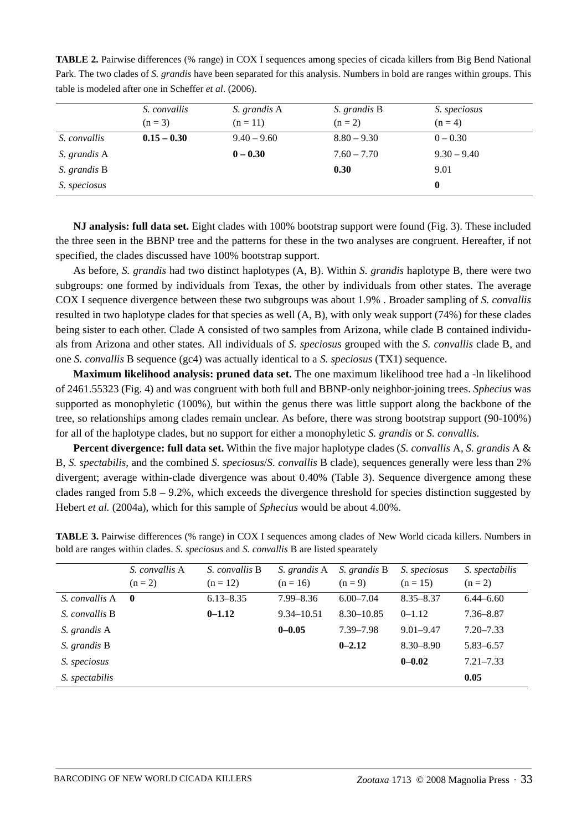| table is modered after the in Schener <i>et al.</i> (2000). |               |               |               |               |  |
|-------------------------------------------------------------|---------------|---------------|---------------|---------------|--|
|                                                             | S. convallis  | S. grandis A  | S. grandis B  | S. speciosus  |  |
|                                                             | $(n = 3)$     | $(n = 11)$    | $(n = 2)$     | $(n = 4)$     |  |
| S. convallis                                                | $0.15 - 0.30$ | $9.40 - 9.60$ | $8.80 - 9.30$ | $0 - 0.30$    |  |
| S. grandis A                                                |               | $0 - 0.30$    | $7.60 - 7.70$ | $9.30 - 9.40$ |  |
| S. grandis B                                                |               |               | 0.30          | 9.01          |  |
| S. speciosus                                                |               |               |               | 0             |  |

**TABLE 2.** Pairwise differences (% range) in COX I sequences among species of cicada killers from Big Bend National Park. The two clades of *S. grandis* have been separated for this analysis. Numbers in bold are ranges within groups. This table is modeled after one in Scheffer *et al*. (2006).

**NJ analysis: full data set.** Eight clades with 100% bootstrap support were found (Fig. 3). These included the three seen in the BBNP tree and the patterns for these in the two analyses are congruent. Hereafter, if not specified, the clades discussed have 100% bootstrap support.

As before, *S. grandis* had two distinct haplotypes (A, B). Within *S. grandis* haplotype B, there were two subgroups: one formed by individuals from Texas, the other by individuals from other states. The average COX I sequence divergence between these two subgroups was about 1.9% . Broader sampling of *S. convallis* resulted in two haplotype clades for that species as well (A, B), with only weak support (74%) for these clades being sister to each other. Clade A consisted of two samples from Arizona, while clade B contained individuals from Arizona and other states. All individuals of *S. speciosus* grouped with the *S. convallis* clade B, and one *S. convallis* B sequence (gc4) was actually identical to a *S. speciosus* (TX1) sequence.

**Maximum likelihood analysis: pruned data set.** The one maximum likelihood tree had a -ln likelihood of 2461.55323 (Fig. 4) and was congruent with both full and BBNP-only neighbor-joining trees. *Sphecius* was supported as monophyletic (100%), but within the genus there was little support along the backbone of the tree, so relationships among clades remain unclear. As before, there was strong bootstrap support (90-100%) for all of the haplotype clades, but no support for either a monophyletic *S. grandis* or *S. convallis*.

**Percent divergence: full data set.** Within the five major haplotype clades (*S. convallis* A, *S. grandis* A & B, *S. spectabilis,* and the combined *S. speciosus*/*S. convallis* B clade), sequences generally were less than 2% divergent; average within-clade divergence was about 0.40% (Table 3). Sequence divergence among these clades ranged from  $5.8 - 9.2\%$ , which exceeds the divergence threshold for species distinction suggested by Hebert *et al.* (2004a), which for this sample of *Sphecius* would be about 4.00%.

|                 | S. convallis A | S. convallis B | S. grandis A   | S. grandis B   | S. speciosus  | S. spectabilis |
|-----------------|----------------|----------------|----------------|----------------|---------------|----------------|
|                 | $(n = 2)$      | $(n = 12)$     | $(n = 16)$     | $(n = 9)$      | $(n = 15)$    | $(n = 2)$      |
| S. convallis A  | $\mathbf{0}$   | $6.13 - 8.35$  | $7.99 - 8.36$  | $6.00 - 7.04$  | $8.35 - 8.37$ | $6.44 - 6.60$  |
| S. convallis B. |                | $0 - 1.12$     | $9.34 - 10.51$ | $8.30 - 10.85$ | $0 - 1.12$    | $7.36 - 8.87$  |
| S. grandis A    |                |                | $0 - 0.05$     | 7.39-7.98      | $9.01 - 9.47$ | $7.20 - 7.33$  |
| S. grandis B    |                |                |                | $0 - 2.12$     | $8.30 - 8.90$ | $5.83 - 6.57$  |
| S. speciosus    |                |                |                |                | $0 - 0.02$    | $7.21 - 7.33$  |
| S. spectabilis  |                |                |                |                |               | 0.05           |

**TABLE 3.** Pairwise differences (% range) in COX I sequences among clades of New World cicada killers. Numbers in bold are ranges within clades. *S. speciosus* and *S. convallis* B are listed spearately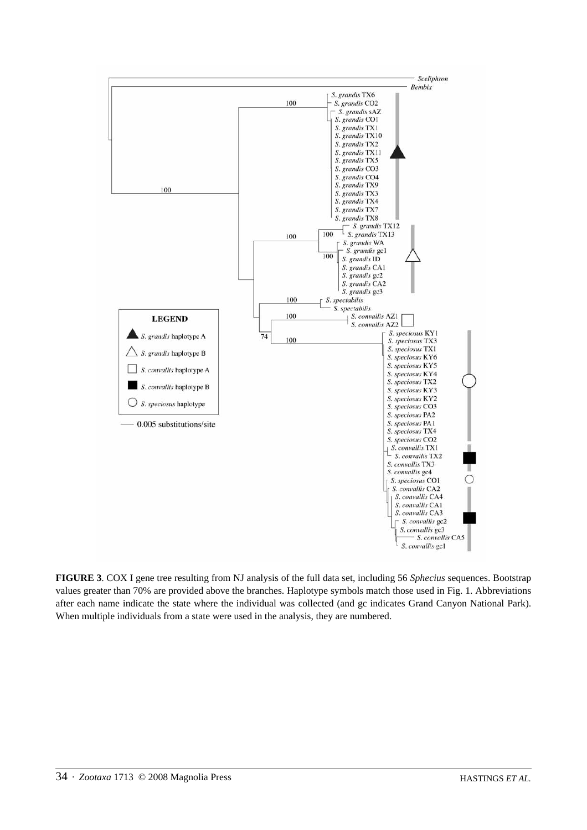

**FIGURE 3**. COX I gene tree resulting from NJ analysis of the full data set, including 56 *Sphecius* sequences. Bootstrap values greater than 70% are provided above the branches. Haplotype symbols match those used in Fig. 1. Abbreviations after each name indicate the state where the individual was collected (and gc indicates Grand Canyon National Park). When multiple individuals from a state were used in the analysis, they are numbered.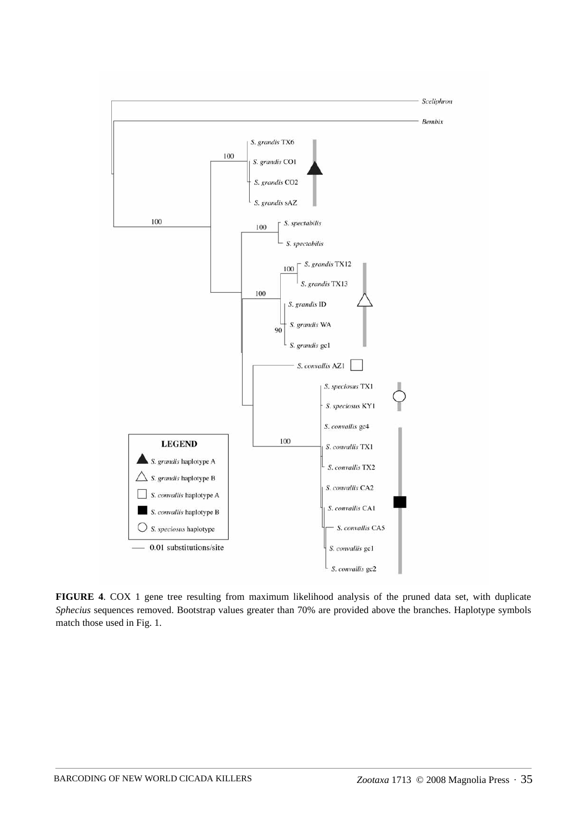

**FIGURE 4**. COX 1 gene tree resulting from maximum likelihood analysis of the pruned data set, with duplicate *Sphecius* sequences removed. Bootstrap values greater than 70% are provided above the branches. Haplotype symbols match those used in Fig. 1.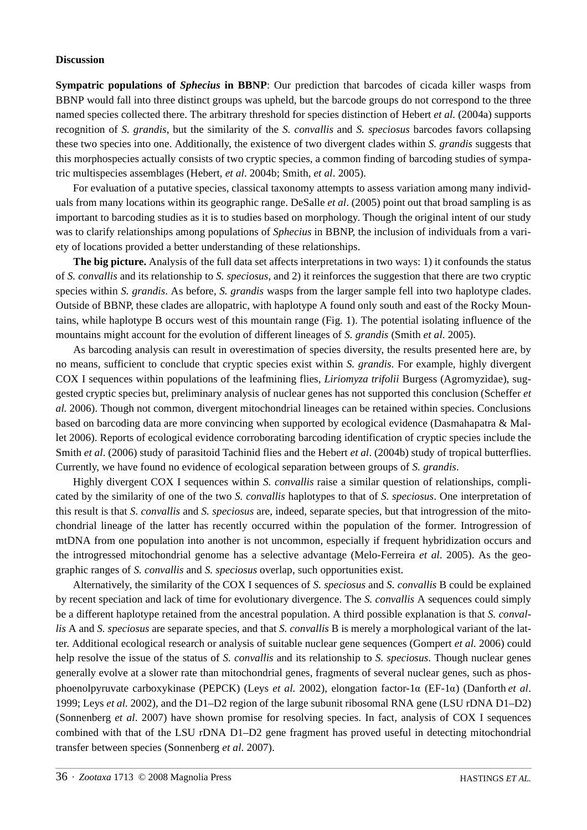#### **Discussion**

**Sympatric populations of** *Sphecius* **in BBNP**: Our prediction that barcodes of cicada killer wasps from BBNP would fall into three distinct groups was upheld, but the barcode groups do not correspond to the three named species collected there. The arbitrary threshold for species distinction of Hebert *et al.* (2004a) supports recognition of *S. grandis*, but the similarity of the *S. convallis* and *S. speciosus* barcodes favors collapsing these two species into one. Additionally, the existence of two divergent clades within *S. grandis* suggests that this morphospecies actually consists of two cryptic species, a common finding of barcoding studies of sympatric multispecies assemblages (Hebert, *et al*. 2004b; Smith, *et al*. 2005).

For evaluation of a putative species, classical taxonomy attempts to assess variation among many individuals from many locations within its geographic range. DeSalle *et al*. (2005) point out that broad sampling is as important to barcoding studies as it is to studies based on morphology. Though the original intent of our study was to clarify relationships among populations of *Sphecius* in BBNP, the inclusion of individuals from a variety of locations provided a better understanding of these relationships.

**The big picture.** Analysis of the full data set affects interpretations in two ways: 1) it confounds the status of *S. convallis* and its relationship to *S. speciosus*, and 2) it reinforces the suggestion that there are two cryptic species within *S. grandis*. As before, *S. grandis* wasps from the larger sample fell into two haplotype clades. Outside of BBNP, these clades are allopatric, with haplotype A found only south and east of the Rocky Mountains, while haplotype B occurs west of this mountain range (Fig. 1). The potential isolating influence of the mountains might account for the evolution of different lineages of *S. grandis* (Smith *et al*. 2005).

As barcoding analysis can result in overestimation of species diversity, the results presented here are, by no means, sufficient to conclude that cryptic species exist within *S. grandis*. For example, highly divergent COX I sequences within populations of the leafmining flies, *Liriomyza trifolii* Burgess (Agromyzidae), suggested cryptic species but, preliminary analysis of nuclear genes has not supported this conclusion (Scheffer *et al.* 2006). Though not common, divergent mitochondrial lineages can be retained within species. Conclusions based on barcoding data are more convincing when supported by ecological evidence (Dasmahapatra & Mallet 2006). Reports of ecological evidence corroborating barcoding identification of cryptic species include the Smith *et al*. (2006) study of parasitoid Tachinid flies and the Hebert *et al*. (2004b) study of tropical butterflies. Currently, we have found no evidence of ecological separation between groups of *S. grandis*.

Highly divergent COX I sequences within *S. convallis* raise a similar question of relationships, complicated by the similarity of one of the two *S. convallis* haplotypes to that of *S. speciosus*. One interpretation of this result is that *S. convallis* and *S. speciosus* are, indeed, separate species, but that introgression of the mitochondrial lineage of the latter has recently occurred within the population of the former. Introgression of mtDNA from one population into another is not uncommon, especially if frequent hybridization occurs and the introgressed mitochondrial genome has a selective advantage (Melo-Ferreira *et al*. 2005). As the geographic ranges of *S. convallis* and *S. speciosus* overlap, such opportunities exist.

Alternatively, the similarity of the COX I sequences of *S. speciosus* and *S. convallis* B could be explained by recent speciation and lack of time for evolutionary divergence. The *S. convallis* A sequences could simply be a different haplotype retained from the ancestral population. A third possible explanation is that *S. convallis* A and *S. speciosus* are separate species, and that *S. convallis* B is merely a morphological variant of the latter. Additional ecological research or analysis of suitable nuclear gene sequences (Gompert *et al.* 2006) could help resolve the issue of the status of *S. convallis* and its relationship to *S. speciosus*. Though nuclear genes generally evolve at a slower rate than mitochondrial genes, fragments of several nuclear genes, such as phosphoenolpyruvate carboxykinase (PEPCK) (Leys *et al.* 2002), elongation factor-1α (EF-1α) (Danforth *et al*. 1999; Leys *et al.* 2002), and the D1–D2 region of the large subunit ribosomal RNA gene (LSU rDNA D1–D2) (Sonnenberg *et al*. 2007) have shown promise for resolving species. In fact, analysis of COX I sequences combined with that of the LSU rDNA D1–D2 gene fragment has proved useful in detecting mitochondrial transfer between species (Sonnenberg *et al*. 2007).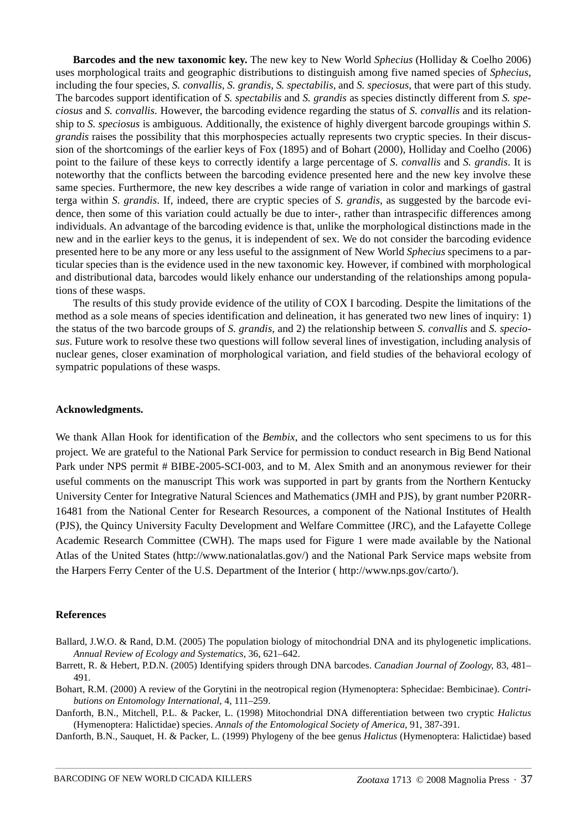**Barcodes and the new taxonomic key.** The new key to New World *Sphecius* (Holliday & Coelho 2006) uses morphological traits and geographic distributions to distinguish among five named species of *Sphecius*, including the four species*, S. convallis, S. grandis, S. spectabilis,* and *S. speciosus*, that were part of this study. The barcodes support identification of *S. spectabilis* and *S. grandis* as species distinctly different from *S. speciosus* and *S. convallis*. However, the barcoding evidence regarding the status of *S. convallis* and its relationship to *S. speciosus* is ambiguous. Additionally, the existence of highly divergent barcode groupings within *S. grandis* raises the possibility that this morphospecies actually represents two cryptic species. In their discussion of the shortcomings of the earlier keys of Fox (1895) and of Bohart (2000), Holliday and Coelho (2006) point to the failure of these keys to correctly identify a large percentage of *S. convallis* and *S. grandis*. It is noteworthy that the conflicts between the barcoding evidence presented here and the new key involve these same species. Furthermore, the new key describes a wide range of variation in color and markings of gastral terga within *S. grandis*. If, indeed, there are cryptic species of *S. grandis*, as suggested by the barcode evidence, then some of this variation could actually be due to inter-, rather than intraspecific differences among individuals. An advantage of the barcoding evidence is that, unlike the morphological distinctions made in the new and in the earlier keys to the genus, it is independent of sex. We do not consider the barcoding evidence presented here to be any more or any less useful to the assignment of New World *Sphecius* specimens to a particular species than is the evidence used in the new taxonomic key. However, if combined with morphological and distributional data, barcodes would likely enhance our understanding of the relationships among populations of these wasps.

The results of this study provide evidence of the utility of COX I barcoding. Despite the limitations of the method as a sole means of species identification and delineation, it has generated two new lines of inquiry: 1) the status of the two barcode groups of *S. grandis*, and 2) the relationship between *S. convallis* and *S. speciosus*. Future work to resolve these two questions will follow several lines of investigation, including analysis of nuclear genes, closer examination of morphological variation, and field studies of the behavioral ecology of sympatric populations of these wasps.

### **Acknowledgments.**

We thank Allan Hook for identification of the *Bembix*, and the collectors who sent specimens to us for this project. We are grateful to the National Park Service for permission to conduct research in Big Bend National Park under NPS permit # BIBE-2005-SCI-003, and to M. Alex Smith and an anonymous reviewer for their useful comments on the manuscript This work was supported in part by grants from the Northern Kentucky University Center for Integrative Natural Sciences and Mathematics (JMH and PJS), by grant number P20RR-16481 from the National Center for Research Resources, a component of the National Institutes of Health (PJS), the Quincy University Faculty Development and Welfare Committee (JRC), and the Lafayette College Academic Research Committee (CWH). The maps used for Figure 1 were made available by the National Atlas of the United States (http://www.nationalatlas.gov/) and the National Park Service maps website from the Harpers Ferry Center of the U.S. Department of the Interior ( http://www.nps.gov/carto/).

#### **References**

- Ballard, J.W.O. & Rand, D.M. (2005) The population biology of mitochondrial DNA and its phylogenetic implications. *Annual Review of Ecology and Systematics,* 36, 621–642.
- Barrett, R. & Hebert, P.D.N. (2005) Identifying spiders through DNA barcodes. *Canadian Journal of Zoology,* 83, 481– 491.
- Bohart, R.M. (2000) A review of the Gorytini in the neotropical region (Hymenoptera: Sphecidae: Bembicinae). *Contributions on Entomology International,* 4, 111–259.
- Danforth, B.N., Mitchell, P.L. & Packer, L. (1998) Mitochondrial DNA differentiation between two cryptic *Halictus* (Hymenoptera: Halictidae) species. *Annals of the Entomological Society of America*, 91, 387-391.

Danforth, B.N., Sauquet, H. & Packer, L. (1999) Phylogeny of the bee genus *Halictus* (Hymenoptera: Halictidae) based